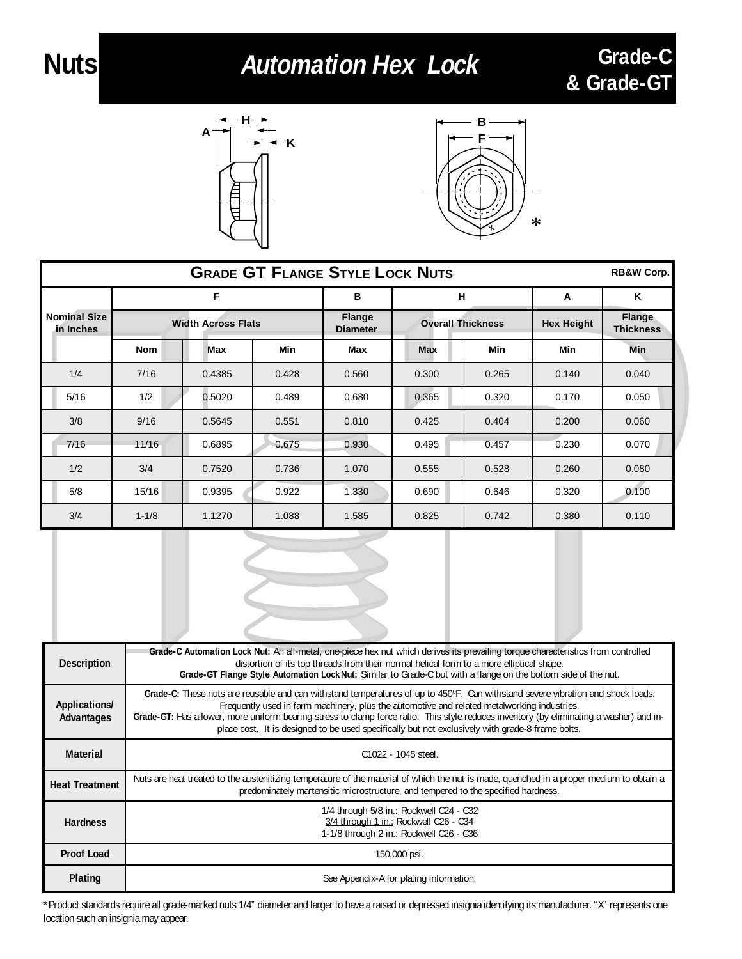## **Nuts Automation Hex Lock Grade-C**



**A**



**& Grade-GT**

| <b>GRADE GT FLANGE STYLE LOCK NUTS</b><br><b>RB&amp;W Corp.</b> |                           |            |            |                                                              |       |                   |                            |       |
|-----------------------------------------------------------------|---------------------------|------------|------------|--------------------------------------------------------------|-------|-------------------|----------------------------|-------|
| F                                                               |                           |            | в          | н                                                            |       | A                 | K                          |       |
| <b>Nominal Size</b><br>in Inches                                | <b>Width Across Flats</b> |            |            | <b>Flange</b><br><b>Overall Thickness</b><br><b>Diameter</b> |       | <b>Hex Height</b> | Flange<br><b>Thickness</b> |       |
|                                                                 | <b>Nom</b>                | <b>Max</b> | <b>Min</b> | Max                                                          | Max   | Min               | <b>Min</b>                 | Min   |
| 1/4                                                             | 7/16                      | 0.4385     | 0.428      | 0.560                                                        | 0.300 | 0.265             | 0.140                      | 0.040 |
| 5/16                                                            | 1/2                       | 0.5020     | 0.489      | 0.680                                                        | 0.365 | 0.320             | 0.170                      | 0.050 |
| 3/8                                                             | 9/16                      | 0.5645     | 0.551      | 0.810                                                        | 0.425 | 0.404             | 0.200                      | 0.060 |
| 7/16                                                            | 11/16                     | 0.6895     | 0.675      | 0.930                                                        | 0.495 | 0.457             | 0.230                      | 0.070 |
| 1/2                                                             | 3/4                       | 0.7520     | 0.736      | 1.070                                                        | 0.555 | 0.528             | 0.260                      | 0.080 |
| 5/8                                                             | 15/16                     | 0.9395     | 0.922      | 1.330                                                        | 0.690 | 0.646             | 0.320                      | 0.100 |
| 3/4                                                             | $1 - 1/8$                 | 1.1270     | 1.088      | 1.585                                                        | 0.825 | 0.742             | 0.380                      | 0.110 |
|                                                                 |                           |            |            |                                                              |       |                   |                            |       |

| <b>Description</b>          | Grade-C Automation Lock Nut: An all-metal, one-piece hex nut which derives its prevailing torque characteristics from controlled<br>distortion of its top threads from their normal helical form to a more elliptical shape.<br>Grade-GT Flange Style Automation Lock Nut: Similar to Grade-C but with a flange on the bottom side of the nut.                                                                                                                                |  |  |  |  |  |
|-----------------------------|-------------------------------------------------------------------------------------------------------------------------------------------------------------------------------------------------------------------------------------------------------------------------------------------------------------------------------------------------------------------------------------------------------------------------------------------------------------------------------|--|--|--|--|--|
| Applications/<br>Advantages | Grade-C: These nuts are reusable and can withstand temperatures of up to 450°F. Can withstand severe vibration and shock loads.<br>Frequently used in farm machinery, plus the automotive and related metalworking industries.<br>Grade-GT: Has a lower, more uniform bearing stress to clamp force ratio. This style reduces inventory (by eliminating a washer) and in-<br>place cost. It is designed to be used specifically but not exclusively with grade-8 frame bolts. |  |  |  |  |  |
| <b>Material</b>             | C <sub>1022</sub> - 1045 steel.                                                                                                                                                                                                                                                                                                                                                                                                                                               |  |  |  |  |  |
| <b>Heat Treatment</b>       | Nuts are heat treated to the austenitizing temperature of the material of which the nut is made, quenched in a proper medium to obtain a<br>predominately martensitic microstructure, and tempered to the specified hardness.                                                                                                                                                                                                                                                 |  |  |  |  |  |
| <b>Hardness</b>             | 1/4 through 5/8 in.: Rockwell C24 - C32<br>3/4 through 1 in.: Rockwell C26 - C34<br>1-1/8 through 2 in.: Rockwell C26 - C36                                                                                                                                                                                                                                                                                                                                                   |  |  |  |  |  |
| Proof Load                  | 150,000 psi.                                                                                                                                                                                                                                                                                                                                                                                                                                                                  |  |  |  |  |  |
| <b>Plating</b>              | See Appendix-A for plating information.                                                                                                                                                                                                                                                                                                                                                                                                                                       |  |  |  |  |  |

\*Product standards require all grade-marked nuts 1/4" diameter and larger to have a raised or depressed insignia identifying its manufacturer. "X" represents one location such an insignia may appear.